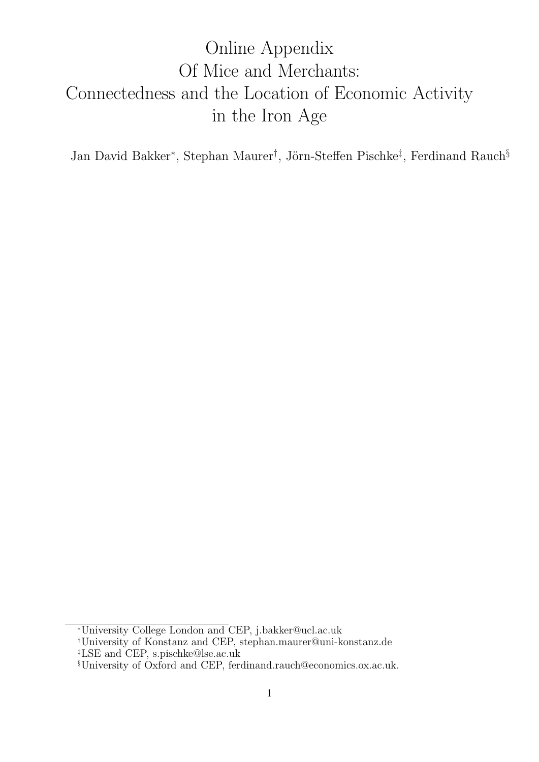# <span id="page-0-0"></span>Online Appendix Of Mice and Merchants: Connectedness and the Location of Economic Activity in the Iron Age

Jan David Bakker<sup>∗</sup>, Stephan Maurer<sup>†</sup>, Jörn-Steffen Pischke<sup>‡</sup>, Ferdinand Rauch<sup>§</sup>

<sup>∗</sup>University College London and CEP, j.bakker@ucl.ac.uk

<sup>†</sup>University of Konstanz and CEP, stephan.maurer@uni-konstanz.de ‡LSE and CEP, s.pischke@lse.ac.uk

<sup>§</sup>University of Oxford and CEP, ferdinand.rauch@economics.ox.ac.uk.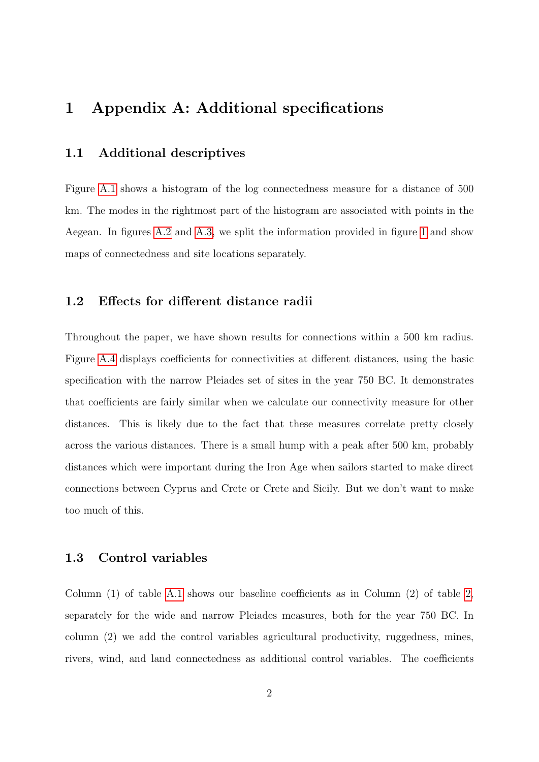# 1 Appendix A: Additional specifications

# 1.1 Additional descriptives

Figure [A.1](#page-9-0) shows a histogram of the log connectedness measure for a distance of 500 km. The modes in the rightmost part of the histogram are associated with points in the Aegean. In figures [A.2](#page-10-0) and [A.3,](#page-11-0) we split the information provided in figure [1](#page-9-0) and show maps of connectedness and site locations separately.

## 1.2 Effects for different distance radii

Throughout the paper, we have shown results for connections within a 500 km radius. Figure [A.4](#page-12-0) displays coefficients for connectivities at different distances, using the basic specification with the narrow Pleiades set of sites in the year 750 BC. It demonstrates that coefficients are fairly similar when we calculate our connectivity measure for other distances. This is likely due to the fact that these measures correlate pretty closely across the various distances. There is a small hump with a peak after 500 km, probably distances which were important during the Iron Age when sailors started to make direct connections between Cyprus and Crete or Crete and Sicily. But we don't want to make too much of this.

# 1.3 Control variables

Column (1) of table [A.1](#page-13-0) shows our baseline coefficients as in Column (2) of table [2,](#page-15-0) separately for the wide and narrow Pleiades measures, both for the year 750 BC. In column (2) we add the control variables agricultural productivity, ruggedness, mines, rivers, wind, and land connectedness as additional control variables. The coefficients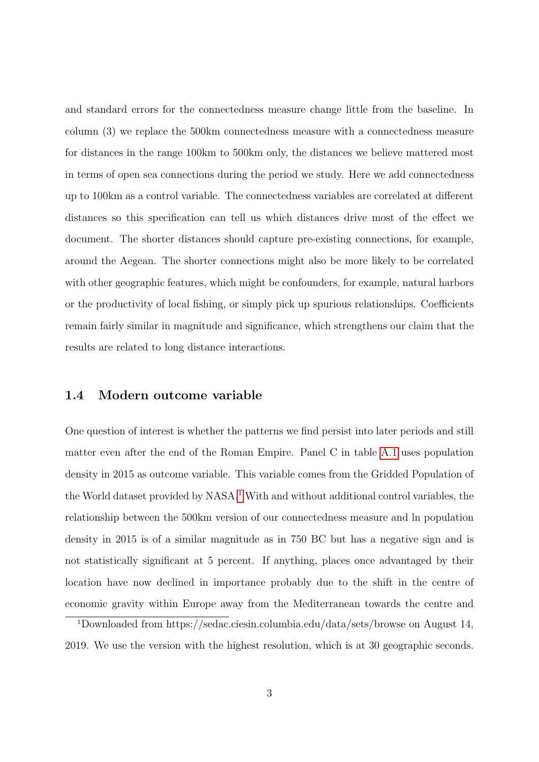and standard errors for the connectedness measure change little from the baseline. In column (3) we replace the 500km connectedness measure with a connectedness measure for distances in the range 100km to 500km only, the distances we believe mattered most in terms of open sea connections during the period we study. Here we add connectedness up to 100km as a control variable. The connectedness variables are correlated at different distances so this specification can tell us which distances drive most of the effect we document. The shorter distances should capture pre-existing connections, for example, around the Aegean. The shorter connections might also be more likely to be correlated with other geographic features, which might be confounders, for example, natural harbors or the productivity of local fishing, or simply pick up spurious relationships. Coefficients remain fairly similar in magnitude and significance, which strengthens our claim that the results are related to long distance interactions.

## 1.4 Modern outcome variable

One question of interest is whether the patterns we find persist into later periods and still matter even after the end of the Roman Empire. Panel C in table [A.1](#page-13-0) uses population density in 2015 as outcome variable. This variable comes from the Gridded Population of the World dataset provided by NASA.<sup>[1](#page-2-0)</sup> With and without additional control variables, the relationship between the 500km version of our connectedness measure and ln population density in 2015 is of a similar magnitude as in 750 BC but has a negative sign and is not statistically significant at 5 percent. If anything, places once advantaged by their location have now declined in importance probably due to the shift in the centre of economic gravity within Europe away from the Mediterranean towards the centre and

<span id="page-2-0"></span><sup>1</sup>Downloaded from https://sedac.ciesin.columbia.edu/data/sets/browse on August 14, 2019. We use the version with the highest resolution, which is at 30 geographic seconds.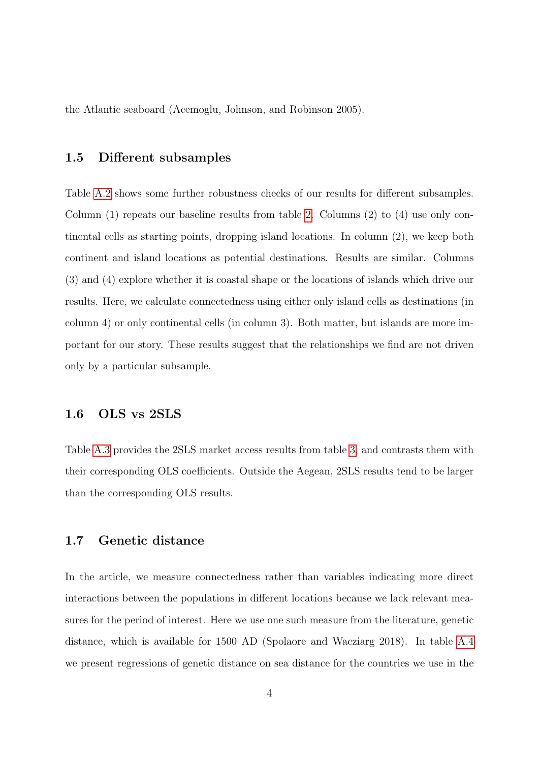the Atlantic seaboard (Acemoglu, Johnson, and Robinson 2005).

## 1.5 Different subsamples

Table [A.2](#page-14-0) shows some further robustness checks of our results for different subsamples. Column (1) repeats our baseline results from table [2.](#page-15-0) Columns (2) to (4) use only continental cells as starting points, dropping island locations. In column (2), we keep both continent and island locations as potential destinations. Results are similar. Columns (3) and (4) explore whether it is coastal shape or the locations of islands which drive our results. Here, we calculate connectedness using either only island cells as destinations (in column 4) or only continental cells (in column 3). Both matter, but islands are more important for our story. These results suggest that the relationships we find are not driven only by a particular subsample.

# 1.6 OLS vs 2SLS

Table [A.3](#page-15-0) provides the 2SLS market access results from table [3,](#page-16-0) and contrasts them with their corresponding OLS coefficients. Outside the Aegean, 2SLS results tend to be larger than the corresponding OLS results.

## 1.7 Genetic distance

In the article, we measure connectedness rather than variables indicating more direct interactions between the populations in different locations because we lack relevant measures for the period of interest. Here we use one such measure from the literature, genetic distance, which is available for 1500 AD (Spolaore and Wacziarg 2018). In table [A.4](#page-16-0) we present regressions of genetic distance on sea distance for the countries we use in the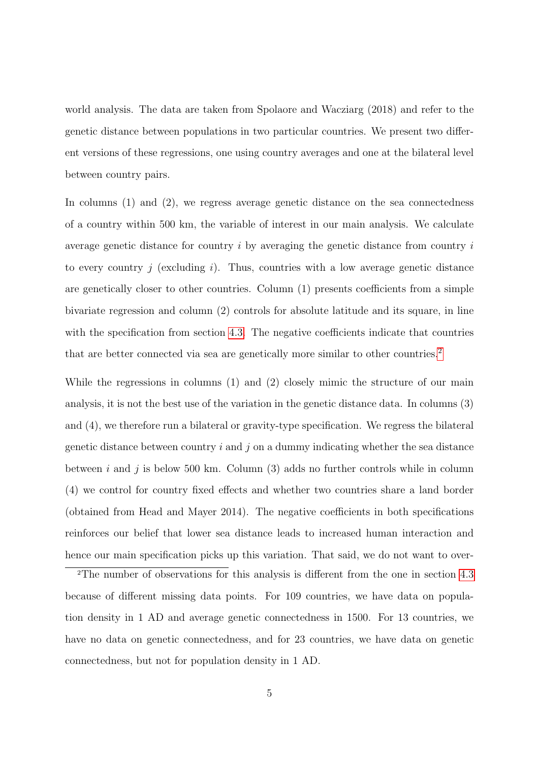world analysis. The data are taken from Spolaore and Wacziarg (2018) and refer to the genetic distance between populations in two particular countries. We present two different versions of these regressions, one using country averages and one at the bilateral level between country pairs.

In columns (1) and (2), we regress average genetic distance on the sea connectedness of a country within 500 km, the variable of interest in our main analysis. We calculate average genetic distance for country  $i$  by averaging the genetic distance from country  $i$ to every country  $j$  (excluding  $i$ ). Thus, countries with a low average genetic distance are genetically closer to other countries. Column (1) presents coefficients from a simple bivariate regression and column (2) controls for absolute latitude and its square, in line with the specification from section [4.3.](#page-0-0) The negative coefficients indicate that countries that are better connected via sea are genetically more similar to other countries.<sup>[2](#page-4-0)</sup>

While the regressions in columns (1) and (2) closely mimic the structure of our main analysis, it is not the best use of the variation in the genetic distance data. In columns (3) and (4), we therefore run a bilateral or gravity-type specification. We regress the bilateral genetic distance between country  $i$  and  $j$  on a dummy indicating whether the sea distance between i and j is below 500 km. Column  $(3)$  adds no further controls while in column (4) we control for country fixed effects and whether two countries share a land border (obtained from Head and Mayer 2014). The negative coefficients in both specifications reinforces our belief that lower sea distance leads to increased human interaction and hence our main specification picks up this variation. That said, we do not want to over-

<span id="page-4-0"></span><sup>2</sup>The number of observations for this analysis is different from the one in section [4.3](#page-0-0) because of different missing data points. For 109 countries, we have data on population density in 1 AD and average genetic connectedness in 1500. For 13 countries, we have no data on genetic connectedness, and for 23 countries, we have data on genetic connectedness, but not for population density in 1 AD.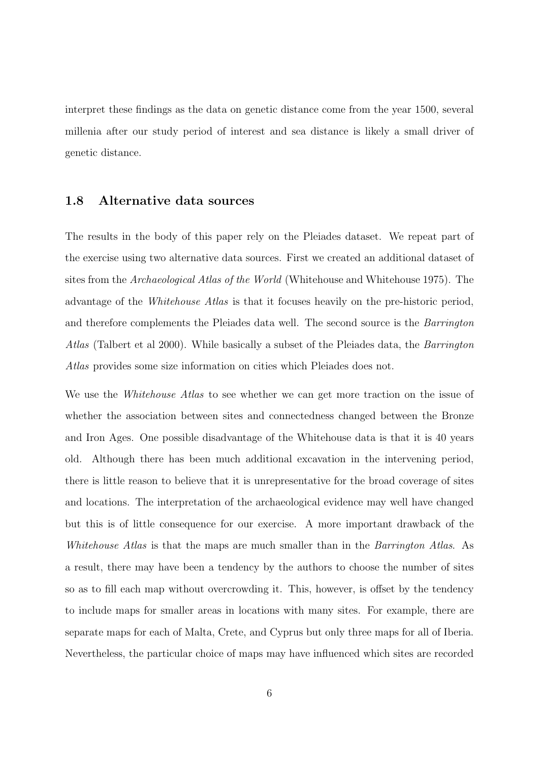interpret these findings as the data on genetic distance come from the year 1500, several millenia after our study period of interest and sea distance is likely a small driver of genetic distance.

### 1.8 Alternative data sources

The results in the body of this paper rely on the Pleiades dataset. We repeat part of the exercise using two alternative data sources. First we created an additional dataset of sites from the *Archaeological Atlas of the World* (Whitehouse and Whitehouse 1975). The advantage of the Whitehouse Atlas is that it focuses heavily on the pre-historic period, and therefore complements the Pleiades data well. The second source is the Barrington Atlas (Talbert et al 2000). While basically a subset of the Pleiades data, the Barrington Atlas provides some size information on cities which Pleiades does not.

We use the *Whitehouse Atlas* to see whether we can get more traction on the issue of whether the association between sites and connectedness changed between the Bronze and Iron Ages. One possible disadvantage of the Whitehouse data is that it is 40 years old. Although there has been much additional excavation in the intervening period, there is little reason to believe that it is unrepresentative for the broad coverage of sites and locations. The interpretation of the archaeological evidence may well have changed but this is of little consequence for our exercise. A more important drawback of the Whitehouse Atlas is that the maps are much smaller than in the Barrington Atlas. As a result, there may have been a tendency by the authors to choose the number of sites so as to fill each map without overcrowding it. This, however, is offset by the tendency to include maps for smaller areas in locations with many sites. For example, there are separate maps for each of Malta, Crete, and Cyprus but only three maps for all of Iberia. Nevertheless, the particular choice of maps may have influenced which sites are recorded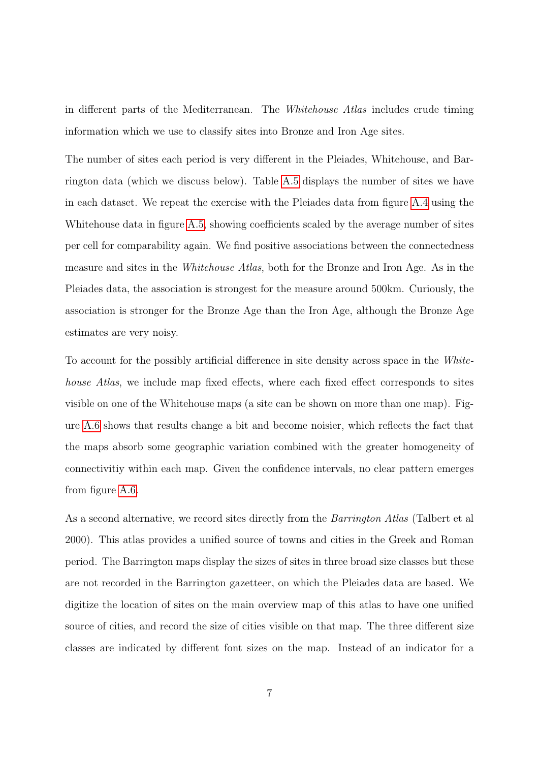in different parts of the Mediterranean. The Whitehouse Atlas includes crude timing information which we use to classify sites into Bronze and Iron Age sites.

The number of sites each period is very different in the Pleiades, Whitehouse, and Barrington data (which we discuss below). Table [A.5](#page-17-0) displays the number of sites we have in each dataset. We repeat the exercise with the Pleiades data from figure [A.4](#page-12-0) using the Whitehouse data in figure [A.5,](#page-18-0) showing coefficients scaled by the average number of sites per cell for comparability again. We find positive associations between the connectedness measure and sites in the Whitehouse Atlas, both for the Bronze and Iron Age. As in the Pleiades data, the association is strongest for the measure around 500km. Curiously, the association is stronger for the Bronze Age than the Iron Age, although the Bronze Age estimates are very noisy.

To account for the possibly artificial difference in site density across space in the Whitehouse Atlas, we include map fixed effects, where each fixed effect corresponds to sites visible on one of the Whitehouse maps (a site can be shown on more than one map). Figure [A.6](#page-19-0) shows that results change a bit and become noisier, which reflects the fact that the maps absorb some geographic variation combined with the greater homogeneity of connectivitiy within each map. Given the confidence intervals, no clear pattern emerges from figure [A.6.](#page-19-0)

As a second alternative, we record sites directly from the *Barrington Atlas* (Talbert et al 2000). This atlas provides a unified source of towns and cities in the Greek and Roman period. The Barrington maps display the sizes of sites in three broad size classes but these are not recorded in the Barrington gazetteer, on which the Pleiades data are based. We digitize the location of sites on the main overview map of this atlas to have one unified source of cities, and record the size of cities visible on that map. The three different size classes are indicated by different font sizes on the map. Instead of an indicator for a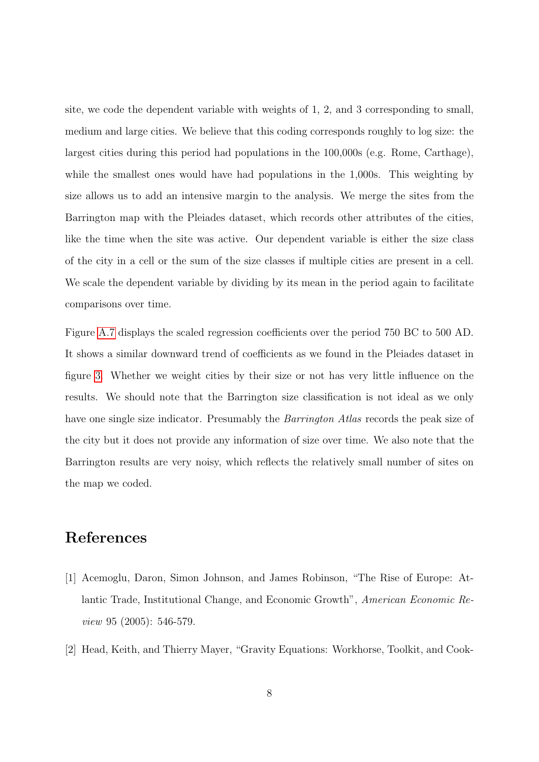site, we code the dependent variable with weights of 1, 2, and 3 corresponding to small, medium and large cities. We believe that this coding corresponds roughly to log size: the largest cities during this period had populations in the 100,000s (e.g. Rome, Carthage), while the smallest ones would have had populations in the 1,000s. This weighting by size allows us to add an intensive margin to the analysis. We merge the sites from the Barrington map with the Pleiades dataset, which records other attributes of the cities, like the time when the site was active. Our dependent variable is either the size class of the city in a cell or the sum of the size classes if multiple cities are present in a cell. We scale the dependent variable by dividing by its mean in the period again to facilitate comparisons over time.

Figure [A.7](#page-20-0) displays the scaled regression coefficients over the period 750 BC to 500 AD. It shows a similar downward trend of coefficients as we found in the Pleiades dataset in figure [3.](#page-11-0) Whether we weight cities by their size or not has very little influence on the results. We should note that the Barrington size classification is not ideal as we only have one single size indicator. Presumably the *Barrington Atlas* records the peak size of the city but it does not provide any information of size over time. We also note that the Barrington results are very noisy, which reflects the relatively small number of sites on the map we coded.

# References

- [1] Acemoglu, Daron, Simon Johnson, and James Robinson, "The Rise of Europe: Atlantic Trade, Institutional Change, and Economic Growth", American Economic Review 95 (2005): 546-579.
- [2] Head, Keith, and Thierry Mayer, "Gravity Equations: Workhorse, Toolkit, and Cook-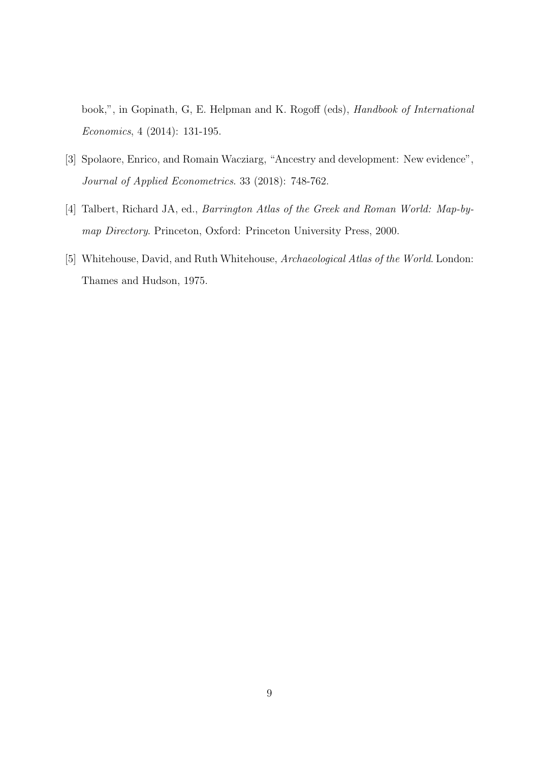book,", in Gopinath, G, E. Helpman and K. Rogoff (eds), Handbook of International Economics, 4 (2014): 131-195.

- [3] Spolaore, Enrico, and Romain Wacziarg, "Ancestry and development: New evidence", Journal of Applied Econometrics. 33 (2018): 748-762.
- [4] Talbert, Richard JA, ed., Barrington Atlas of the Greek and Roman World: Map-bymap Directory. Princeton, Oxford: Princeton University Press, 2000.
- [5] Whitehouse, David, and Ruth Whitehouse, Archaeological Atlas of the World. London: Thames and Hudson, 1975.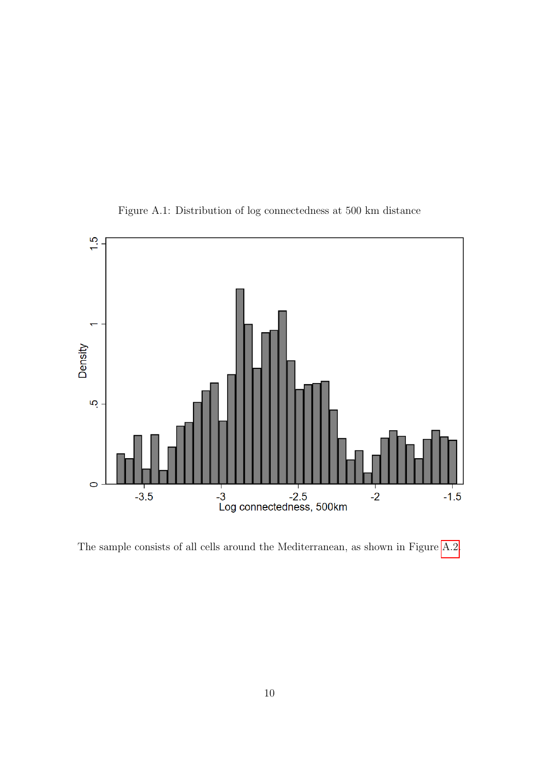<span id="page-9-0"></span>

Figure A.1: Distribution of log connectedness at 500 km distance

The sample consists of all cells around the Mediterranean, as shown in Figure [A.2.](#page-10-0)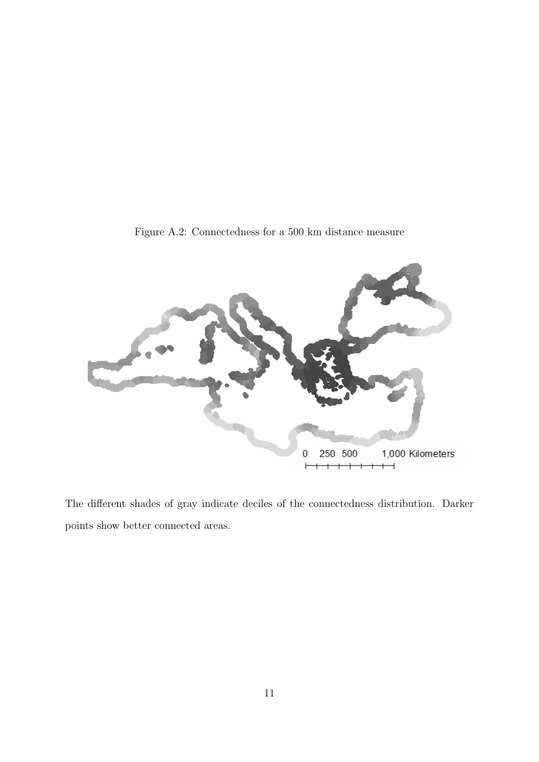<span id="page-10-0"></span>

Figure A.2: Connectedness for a 500 km distance measure

The different shades of gray indicate deciles of the connectedness distribution. Darker points show better connected areas.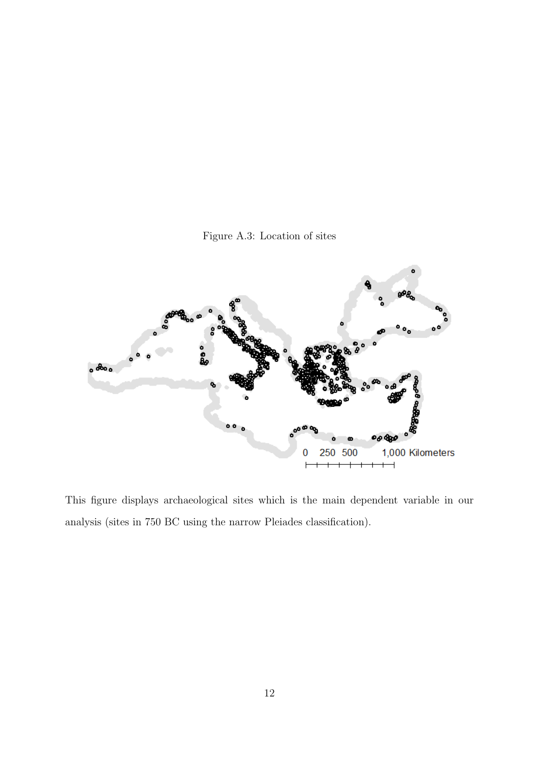

<span id="page-11-0"></span>

This figure displays archaeological sites which is the main dependent variable in our analysis (sites in 750 BC using the narrow Pleiades classification).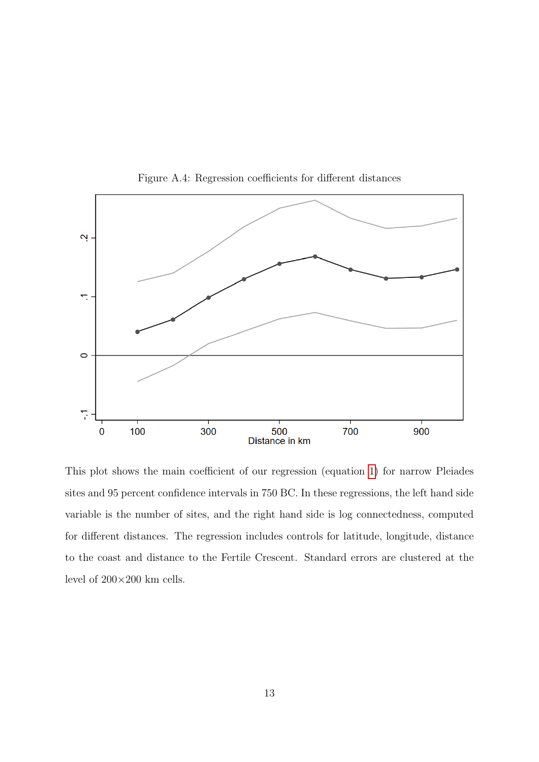<span id="page-12-0"></span>

Figure A.4: Regression coefficients for different distances

This plot shows the main coefficient of our regression (equation [1\)](#page-0-0) for narrow Pleiades sites and 95 percent confidence intervals in 750 BC. In these regressions, the left hand side variable is the number of sites, and the right hand side is log connectedness, computed for different distances. The regression includes controls for latitude, longitude, distance to the coast and distance to the Fertile Crescent. Standard errors are clustered at the level of  $200\times200$  km cells.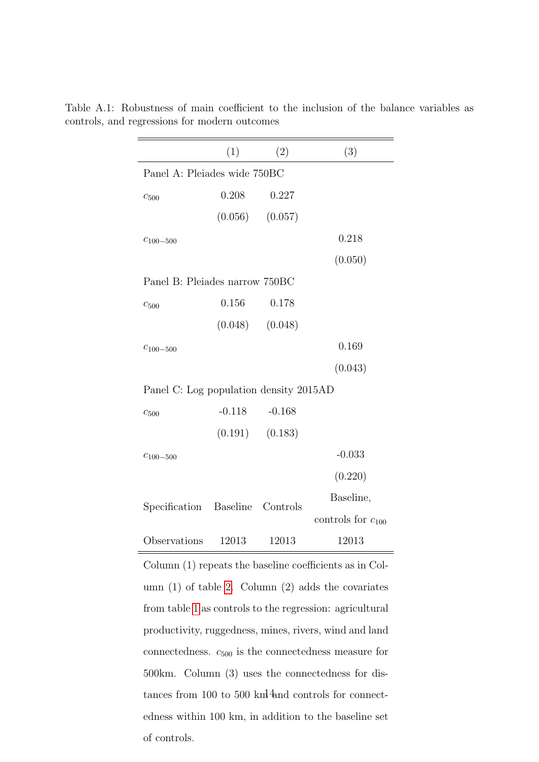|                                        | (1)      | (2)                 | (3)                    |
|----------------------------------------|----------|---------------------|------------------------|
| Panel A: Pleiades wide 750BC           |          |                     |                        |
| $c_{500}$                              | 0.208    | 0.227               |                        |
|                                        |          | $(0.056)$ $(0.057)$ |                        |
| $C_{100-500}$                          |          |                     | 0.218                  |
|                                        |          |                     | (0.050)                |
| Panel B: Pleiades narrow 750BC         |          |                     |                        |
| $c_{500}$                              | 0.156    | 0.178               |                        |
|                                        |          | $(0.048)$ $(0.048)$ |                        |
| $C_{100-500}$                          |          |                     | 0.169                  |
|                                        |          |                     | (0.043)                |
| Panel C: Log population density 2015AD |          |                     |                        |
| $c_{500}$                              | $-0.118$ | $-0.168$            |                        |
|                                        |          | $(0.191)$ $(0.183)$ |                        |
| $c_{100-500}$                          |          |                     | $-0.033$               |
|                                        |          |                     | (0.220)                |
| Specification Baseline Controls        |          |                     | Baseline,              |
|                                        |          |                     | controls for $c_{100}$ |
| Observations                           | 12013    | 12013               | 12013                  |

<span id="page-13-0"></span>Table A.1: Robustness of main coefficient to the inclusion of the balance variables as controls, and regressions for modern outcomes

Column (1) repeats the baseline coefficients as in Column (1) of table [2.](#page-15-0) Column (2) adds the covariates from table [1](#page-14-0) as controls to the regression: agricultural productivity, ruggedness, mines, rivers, wind and land connectedness.  $c_{500}$  is the connectedness measure for 500km. Column (3) uses the connectedness for distances from 100 to 500  $km<sup>4</sup>$  and controls for connectedness within 100 km, in addition to the baseline set of controls.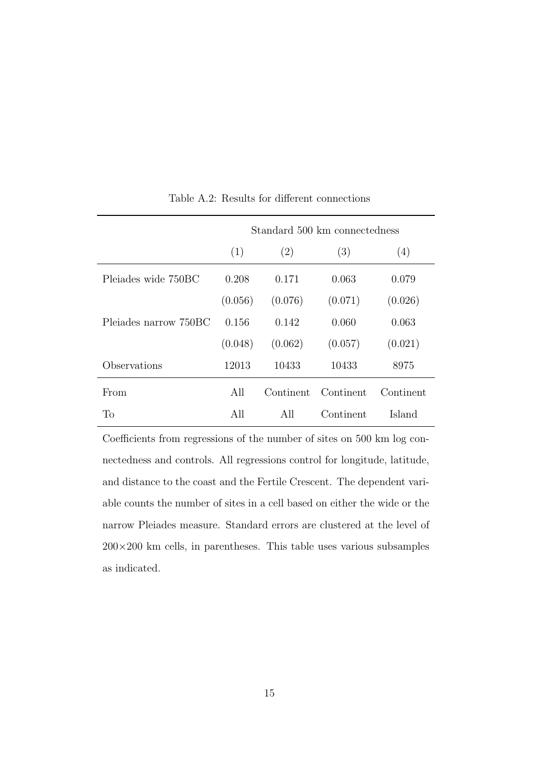<span id="page-14-0"></span>

|                       | Standard 500 km connectedness |           |           |           |  |  |  |
|-----------------------|-------------------------------|-----------|-----------|-----------|--|--|--|
|                       | (1)                           | (2)       | (3)       | (4)       |  |  |  |
| Pleiades wide 750BC   | 0.208                         | 0.171     | 0.063     | 0.079     |  |  |  |
|                       | (0.056)                       | (0.076)   | (0.071)   | (0.026)   |  |  |  |
| Plejades narrow 750BC | 0.156                         | 0.142     | 0.060     | 0.063     |  |  |  |
|                       | (0.048)                       | (0.062)   | (0.057)   | (0.021)   |  |  |  |
| Observations          | 12013                         | 10433     | 10433     | 8975      |  |  |  |
| From                  | All                           | Continent | Continent | Continent |  |  |  |
| Tо                    | All                           | All       | Continent | Island    |  |  |  |

Table A.2: Results for different connections

Coefficients from regressions of the number of sites on 500 km log connectedness and controls. All regressions control for longitude, latitude, and distance to the coast and the Fertile Crescent. The dependent variable counts the number of sites in a cell based on either the wide or the narrow Pleiades measure. Standard errors are clustered at the level of  $200\times200$  km cells, in parentheses. This table uses various subsamples as indicated.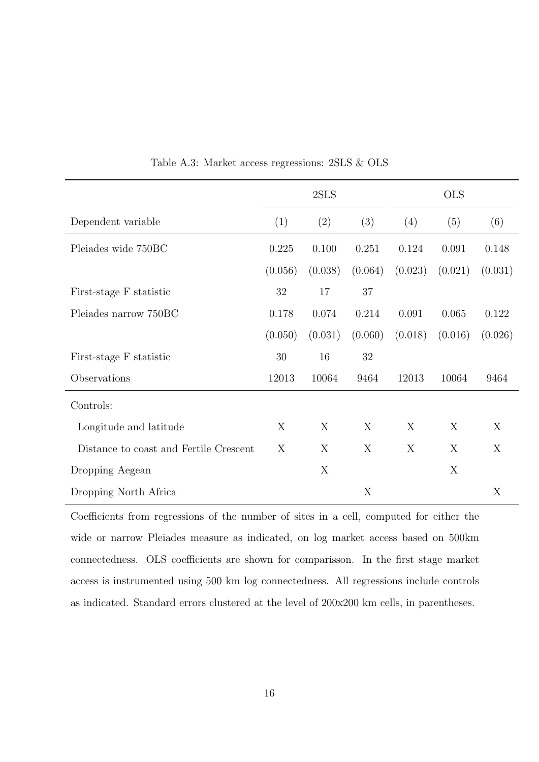<span id="page-15-0"></span>

|                                        | 2SLS    |         |         | <b>OLS</b> |         |         |
|----------------------------------------|---------|---------|---------|------------|---------|---------|
| Dependent variable                     | (1)     | (2)     | (3)     | (4)        | (5)     | (6)     |
| Pleiades wide 750BC                    | 0.225   | 0.100   | 0.251   | 0.124      | 0.091   | 0.148   |
|                                        | (0.056) | (0.038) | (0.064) | (0.023)    | (0.021) | (0.031) |
| First-stage F statistic                | 32      | 17      | 37      |            |         |         |
| Pleiades narrow 750BC                  | 0.178   | 0.074   | 0.214   | 0.091      | 0.065   | 0.122   |
|                                        | (0.050) | (0.031) | (0.060) | (0.018)    | (0.016) | (0.026) |
| First-stage F statistic                | $30\,$  | 16      | 32      |            |         |         |
| Observations                           | 12013   | 10064   | 9464    | 12013      | 10064   | 9464    |
| Controls:                              |         |         |         |            |         |         |
| Longitude and latitude                 | X       | X       | X       | X          | X       | X       |
| Distance to coast and Fertile Crescent | X       | X       | X       | X          | X       | X       |
| Dropping Aegean                        |         | X       |         |            | X       |         |
| Dropping North Africa                  |         |         | X       |            |         | X       |

Table A.3: Market access regressions: 2SLS & OLS

Coefficients from regressions of the number of sites in a cell, computed for either the wide or narrow Pleiades measure as indicated, on log market access based on 500km connectedness. OLS coefficients are shown for comparisson. In the first stage market access is instrumented using 500 km log connectedness. All regressions include controls as indicated. Standard errors clustered at the level of 200x200 km cells, in parentheses.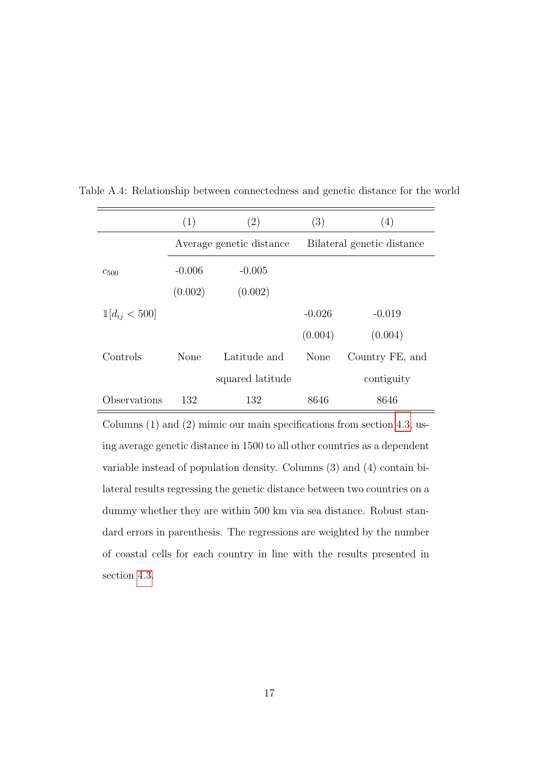|                   | (1)      | (2)                      | (3)      | (4)                        |
|-------------------|----------|--------------------------|----------|----------------------------|
|                   |          | Average genetic distance |          | Bilateral genetic distance |
| $c_{500}$         | $-0.006$ | $-0.005$                 |          |                            |
|                   | (0.002)  | (0.002)                  |          |                            |
| $1 d_{ij} < 500 $ |          |                          | $-0.026$ | $-0.019$                   |
|                   |          |                          | (0.004)  | (0.004)                    |
| Controls          | None     | Latitude and             | None     | Country FE, and            |
|                   |          | squared latitude         |          | contiguity                 |
| Observations      | 132      | 132                      | 8646     | 8646                       |

<span id="page-16-0"></span>Table A.4: Relationship between connectedness and genetic distance for the world

Columns (1) and (2) mimic our main specifications from section [4.3,](#page-0-0) using average genetic distance in 1500 to all other countries as a dependent variable instead of population density. Columns (3) and (4) contain bilateral results regressing the genetic distance between two countries on a dummy whether they are within 500 km via sea distance. Robust standard errors in parenthesis. The regressions are weighted by the number of coastal cells for each country in line with the results presented in section [4.3.](#page-0-0)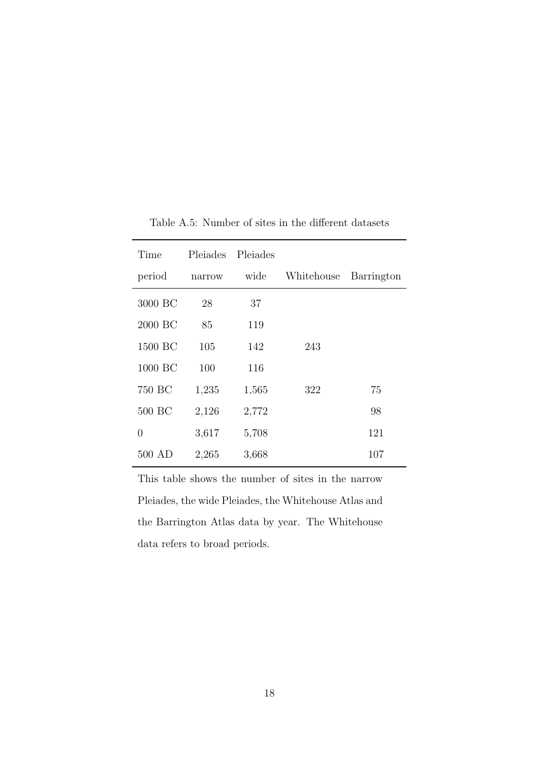<span id="page-17-0"></span>

| Time     | Pleiades | Pleiades |            |            |
|----------|----------|----------|------------|------------|
| period   | narrow   | wide     | Whitehouse | Barrington |
| 3000 BC  | 28       | 37       |            |            |
| 2000 BC  | 85       | 119      |            |            |
| 1500 BC  | 105      | 142      | 243        |            |
| 1000 BC  | 100      | 116      |            |            |
| 750 BC   | 1,235    | 1,565    | 322        | 75         |
| 500 BC   | 2,126    | 2,772    |            | 98         |
| 0        | 3,617    | 5,708    |            | 121        |
| $500$ AD | 2,265    | 3,668    |            | 107        |

Table A.5: Number of sites in the different datasets

This table shows the number of sites in the narrow Pleiades, the wide Pleiades, the Whitehouse Atlas and the Barrington Atlas data by year. The Whitehouse data refers to broad periods.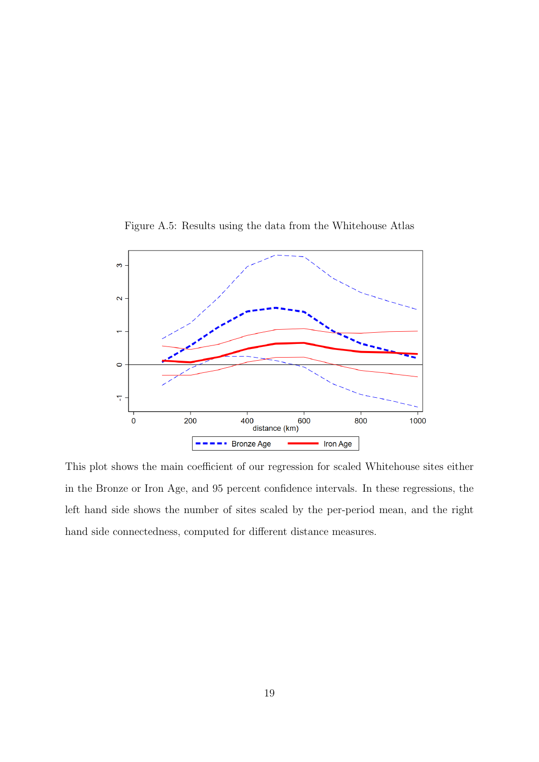<span id="page-18-0"></span>

Figure A.5: Results using the data from the Whitehouse Atlas

This plot shows the main coefficient of our regression for scaled Whitehouse sites either in the Bronze or Iron Age, and 95 percent confidence intervals. In these regressions, the left hand side shows the number of sites scaled by the per-period mean, and the right hand side connectedness, computed for different distance measures.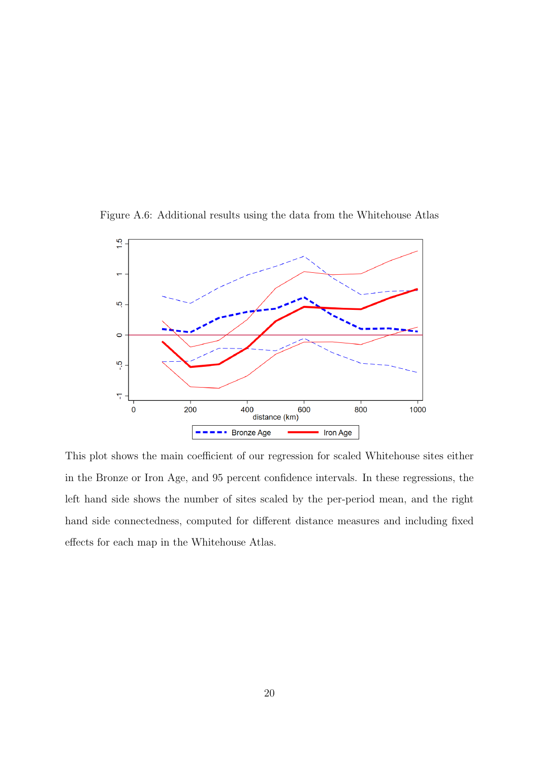<span id="page-19-0"></span>Figure A.6: Additional results using the data from the Whitehouse Atlas



This plot shows the main coefficient of our regression for scaled Whitehouse sites either in the Bronze or Iron Age, and 95 percent confidence intervals. In these regressions, the left hand side shows the number of sites scaled by the per-period mean, and the right hand side connectedness, computed for different distance measures and including fixed effects for each map in the Whitehouse Atlas.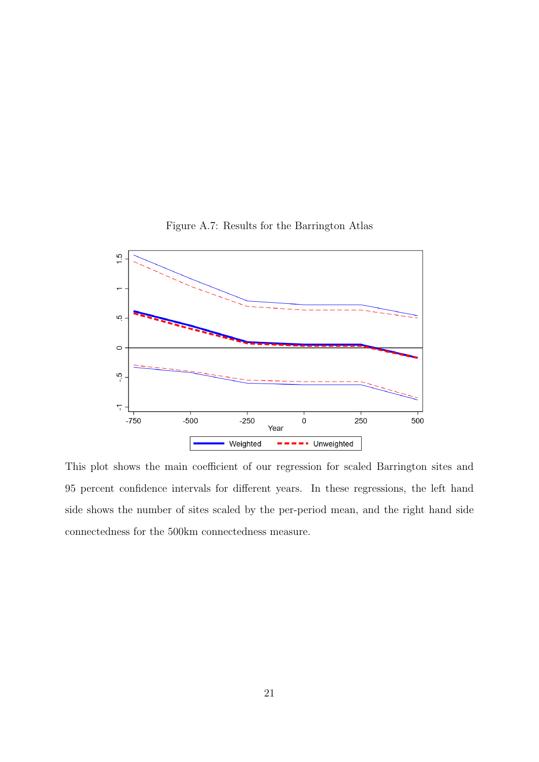<span id="page-20-0"></span>

Figure A.7: Results for the Barrington Atlas

This plot shows the main coefficient of our regression for scaled Barrington sites and 95 percent confidence intervals for different years. In these regressions, the left hand side shows the number of sites scaled by the per-period mean, and the right hand side connectedness for the 500km connectedness measure.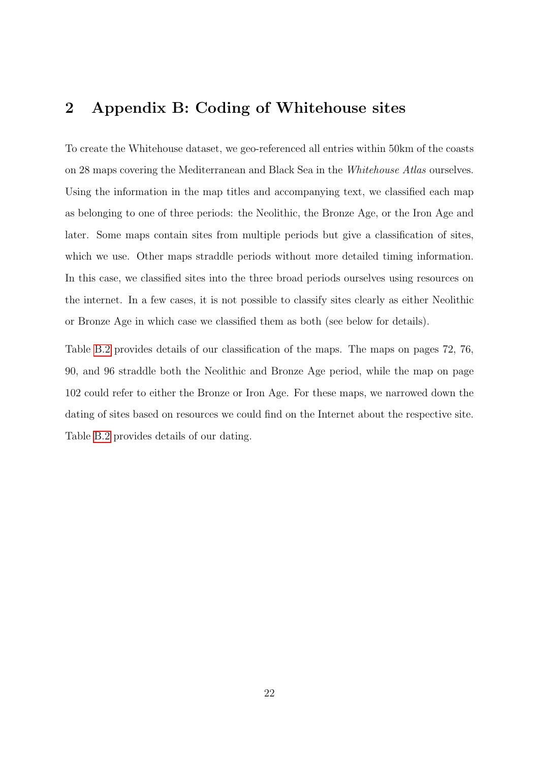# 2 Appendix B: Coding of Whitehouse sites

To create the Whitehouse dataset, we geo-referenced all entries within 50km of the coasts on 28 maps covering the Mediterranean and Black Sea in the Whitehouse Atlas ourselves. Using the information in the map titles and accompanying text, we classified each map as belonging to one of three periods: the Neolithic, the Bronze Age, or the Iron Age and later. Some maps contain sites from multiple periods but give a classification of sites, which we use. Other maps straddle periods without more detailed timing information. In this case, we classified sites into the three broad periods ourselves using resources on the internet. In a few cases, it is not possible to classify sites clearly as either Neolithic or Bronze Age in which case we classified them as both (see below for details).

Table [B.2](#page-23-0) provides details of our classification of the maps. The maps on pages 72, 76, 90, and 96 straddle both the Neolithic and Bronze Age period, while the map on page 102 could refer to either the Bronze or Iron Age. For these maps, we narrowed down the dating of sites based on resources we could find on the Internet about the respective site. Table [B.2](#page-31-0) provides details of our dating.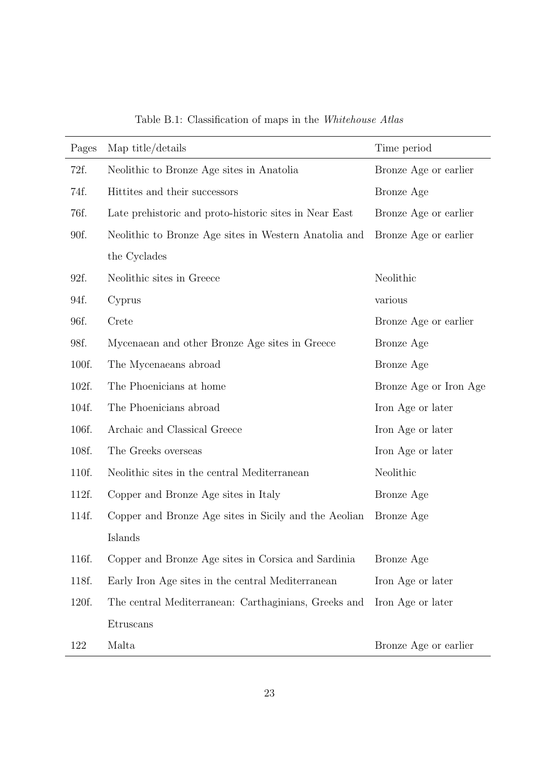| Pages | Map title/details                                      | Time period            |
|-------|--------------------------------------------------------|------------------------|
| 72f.  | Neolithic to Bronze Age sites in Anatolia              | Bronze Age or earlier  |
| 74f.  | Hittites and their successors                          | Bronze Age             |
| 76f.  | Late prehistoric and proto-historic sites in Near East | Bronze Age or earlier  |
| 90f.  | Neolithic to Bronze Age sites in Western Anatolia and  | Bronze Age or earlier  |
|       | the Cyclades                                           |                        |
| 92f.  | Neolithic sites in Greece                              | Neolithic              |
| 94f.  | Cyprus                                                 | various                |
| 96f.  | Crete                                                  | Bronze Age or earlier  |
| 98f.  | Mycenaean and other Bronze Age sites in Greece         | Bronze Age             |
| 100f. | The Mycenaeans abroad                                  | Bronze Age             |
| 102f. | The Phoenicians at home                                | Bronze Age or Iron Age |
| 104f. | The Phoenicians abroad                                 | Iron Age or later      |
| 106f. | Archaic and Classical Greece                           | Iron Age or later      |
| 108f. | The Greeks overseas                                    | Iron Age or later      |
| 110f. | Neolithic sites in the central Mediterranean           | Neolithic              |
| 112f. | Copper and Bronze Age sites in Italy                   | Bronze Age             |
| 114f. | Copper and Bronze Age sites in Sicily and the Aeolian  | Bronze Age             |
|       | Islands                                                |                        |
| 116f. | Copper and Bronze Age sites in Corsica and Sardinia    | Bronze Age             |
| 118f. | Early Iron Age sites in the central Mediterranean      | Iron Age or later      |
| 120f. | The central Mediterranean: Carthaginians, Greeks and   | Iron Age or later      |
|       | Etruscans                                              |                        |
| 122   | Malta                                                  | Bronze Age or earlier  |

Table B.1: Classification of maps in the Whitehouse Atlas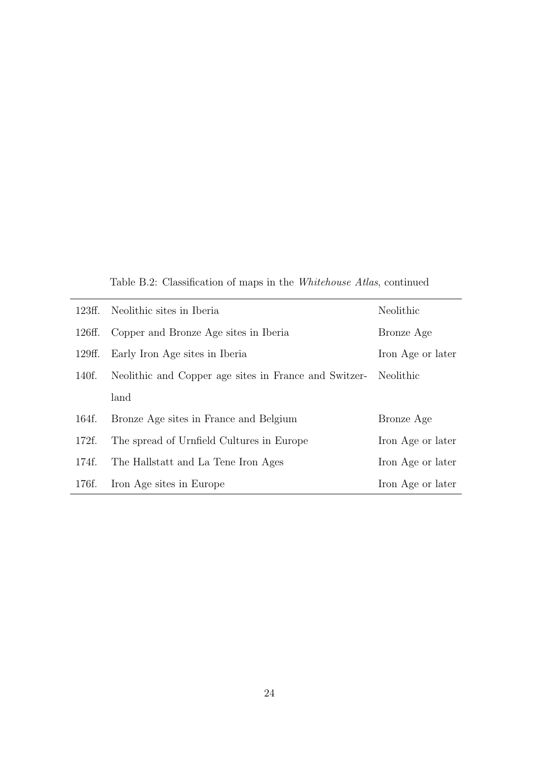Table B.2: Classification of maps in the Whitehouse Atlas, continued

<span id="page-23-0"></span>

| 123ff. | Neolithic sites in Iberia                             | Neolithic         |
|--------|-------------------------------------------------------|-------------------|
| 126ff. | Copper and Bronze Age sites in Iberia                 | Bronze Age        |
| 129ff. | Early Iron Age sites in Iberia                        | Iron Age or later |
| 140f.  | Neolithic and Copper age sites in France and Switzer- | Neolithic         |
|        | land                                                  |                   |
| 164f.  | Bronze Age sites in France and Belgium                | Bronze Age        |
| 172f.  | The spread of Urnfield Cultures in Europe             | Iron Age or later |
| 174f.  | The Hallstatt and La Tene Iron Ages                   | Iron Age or later |
| 176f.  | Iron Age sites in Europe                              | Iron Age or later |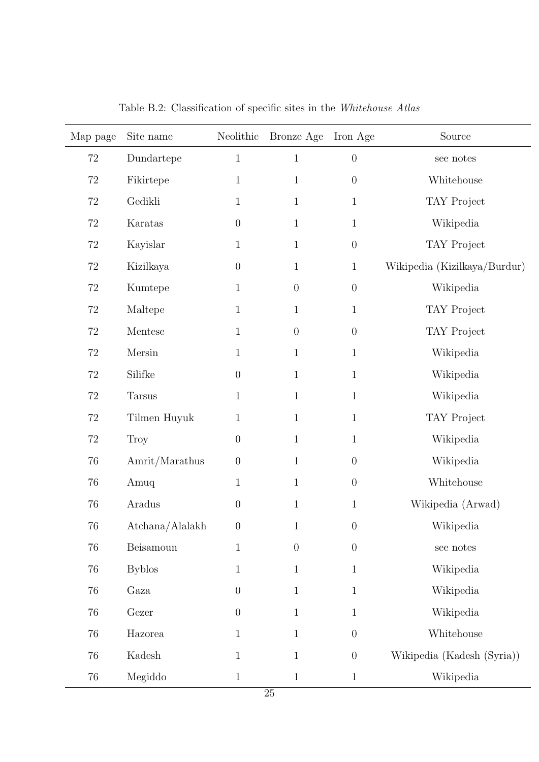| Map page | Site name       | Neolithic      | Bronze Age       | Iron Age         | Source                       |
|----------|-----------------|----------------|------------------|------------------|------------------------------|
| $72\,$   | $Dundartepe$    | $\mathbf 1$    | $\mathbf{1}$     | $\boldsymbol{0}$ | see notes                    |
| $72\,$   | Fikirtepe       | $\mathbf{1}$   | $\mathbf{1}$     | $\boldsymbol{0}$ | Whitehouse                   |
| 72       | Gedikli         | $\mathbf{1}$   | $\mathbf{1}$     | $\mathbf{1}$     | TAY Project                  |
| 72       | Karatas         | $\theta$       | $\mathbf{1}$     | $\mathbf{1}$     | Wikipedia                    |
| 72       | Kayislar        | $\mathbf{1}$   | $\mathbf{1}$     | $\boldsymbol{0}$ | TAY Project                  |
| 72       | Kizilkaya       | $\theta$       | $\mathbf{1}$     | $\mathbf{1}$     | Wikipedia (Kizilkaya/Burdur) |
| $72\,$   | Kumtepe         | $\mathbf{1}$   | $\boldsymbol{0}$ | $\boldsymbol{0}$ | Wikipedia                    |
| $72\,$   | Maltepe         | $\mathbf{1}$   | $\mathbf{1}$     | $\mathbf{1}$     | TAY Project                  |
| $72\,$   | Mentese         | $\mathbf{1}$   | $\boldsymbol{0}$ | $\boldsymbol{0}$ | TAY Project                  |
| 72       | Mersin          | $\mathbf{1}$   | $\mathbf{1}$     | $\mathbf{1}$     | Wikipedia                    |
| 72       | Silifke         | $\theta$       | $\mathbf{1}$     | $\mathbf{1}$     | Wikipedia                    |
| $72\,$   | <b>Tarsus</b>   | $\mathbf{1}$   | $\mathbf{1}$     | $\mathbf{1}$     | Wikipedia                    |
| $72\,$   | Tilmen Huyuk    | $\mathbf{1}$   | $\mathbf{1}$     | $\mathbf{1}$     | TAY Project                  |
| $72\,$   | Troy            | $\overline{0}$ | $\mathbf{1}$     | $\mathbf{1}$     | Wikipedia                    |
| 76       | Amrit/Marathus  | $\theta$       | $\mathbf{1}$     | $\theta$         | Wikipedia                    |
| 76       | Amuq            | $\mathbf{1}$   | $\mathbf{1}$     | $\boldsymbol{0}$ | Whitehouse                   |
| 76       | Aradus          | $\overline{0}$ | $\mathbf{1}$     | $\mathbf{1}$     | Wikipedia (Arwad)            |
| 76       | Atchana/Alalakh | $\theta$       |                  | $\boldsymbol{0}$ | Wikipedia                    |
| 76       | Beisamoun       | $\mathbf{1}$   | $\boldsymbol{0}$ | $\boldsymbol{0}$ | see notes                    |
| 76       | <b>Byblos</b>   | $\mathbf{1}$   | $\mathbf{1}$     | $1\,$            | Wikipedia                    |
| 76       | Gaza            | $\overline{0}$ | $\mathbf{1}$     | $1\,$            | Wikipedia                    |
| 76       | Gezer           | $\overline{0}$ | $\mathbf{1}$     | $\mathbf{1}$     | Wikipedia                    |
| 76       | Hazorea         | $\mathbf{1}$   | $\mathbf{1}$     | $\boldsymbol{0}$ | Whitehouse                   |
| 76       | Kadesh          | $\mathbf{1}$   | $\mathbf{1}$     | $\boldsymbol{0}$ | Wikipedia (Kadesh (Syria))   |
| $76\,$   | Megiddo         | $\mathbf{1}$   | $\mathbf{1}$     | $\mathbf{1}$     | Wikipedia                    |

Table B.2: Classification of specific sites in the Whitehouse Atlas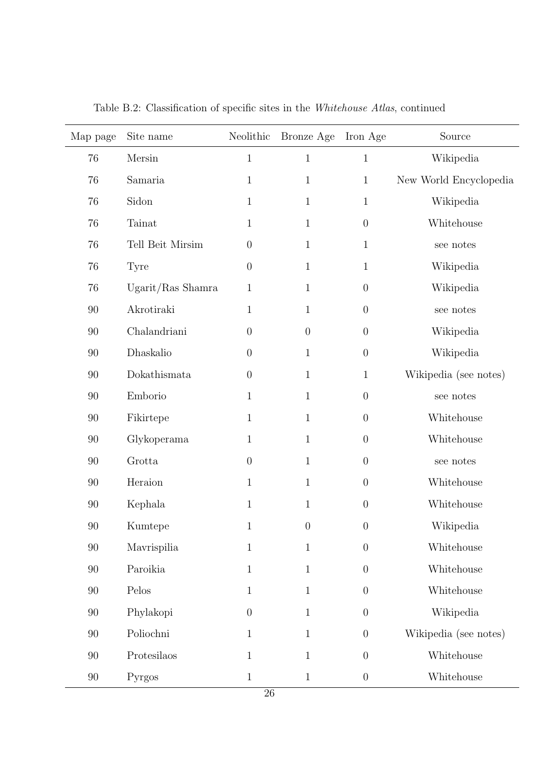| Map page | Site name                                | Neolithic        | Bronze Age       | Iron Age         | Source                 |
|----------|------------------------------------------|------------------|------------------|------------------|------------------------|
| 76       | Mersin                                   | $\mathbf{1}$     | $\mathbf{1}$     | $1\,$            | Wikipedia              |
| 76       | Samaria                                  | $\mathbf{1}$     | $\mathbf{1}$     | $\mathbf{1}$     | New World Encyclopedia |
| 76       | Sidon                                    | $\mathbf{1}$     | $\mathbf{1}$     | $1\,$            | Wikipedia              |
| 76       | Tainat                                   | $\mathbf{1}$     | $\mathbf{1}$     | $\overline{0}$   | Whitehouse             |
| 76       | Tell Beit Mirsim                         | $\theta$         | $\mathbf 1$      | $\mathbf{1}$     | see notes              |
| 76       | Tyre                                     | $\theta$         | $\mathbf 1$      | $\mathbf{1}$     | Wikipedia              |
| 76       | Ugarit/Ras Shamra                        | $\mathbf{1}$     | 1                | $\boldsymbol{0}$ | Wikipedia              |
| 90       | Akrotiraki                               | $\mathbf 1$      | $\mathbf 1$      | $\boldsymbol{0}$ | see notes              |
| 90       | Chalandriani                             | $\theta$         | $\theta$         | $\theta$         | Wikipedia              |
| 90       | Dhaskalio                                | $\theta$         | $\mathbf{1}$     | $\boldsymbol{0}$ | Wikipedia              |
| 90       | Dokathismata                             | $\theta$         | $\mathbf{1}$     | $\mathbf{1}$     | Wikipedia (see notes)  |
| 90       | Emborio                                  | $\mathbf{1}$     | $\mathbf{1}$     | $\theta$         | see notes              |
| 90       | Fikirtepe                                | $\mathbf{1}$     | $\mathbf{1}$     | $\theta$         | Whitehouse             |
| 90       | Glykoperama                              | $\mathbf{1}$     | $\mathbf{1}$     | $\overline{0}$   | Whitehouse             |
| 90       | Grotta                                   | $\theta$         | $\mathbf{1}$     | $\overline{0}$   | see notes              |
| 90       | Heraion                                  | $\mathbf{1}$     | $\mathbf{1}$     | $\theta$         | Whitehouse             |
| 90       | Kephala                                  | $\mathbf 1$      | $\mathbf{1}$     | $\theta$         | Whitehouse             |
| $90\,$   | Kumtepe                                  | $\mathbf{1}$     | $\boldsymbol{0}$ | $\boldsymbol{0}$ | Wikipedia              |
| $90\,$   | Mavrispilia                              | $\,1\,$          | $\,1\,$          | $\boldsymbol{0}$ | Whitehouse             |
| $90\,$   | Paroikia                                 | $\,1$            | $\,1\,$          | $\boldsymbol{0}$ | Whitehouse             |
| $90\,$   | $\operatorname{Pelos}$                   | $\,1$            | $\,1\,$          | $\boldsymbol{0}$ | Whitehouse             |
| $90\,$   | Phylakopi                                | $\boldsymbol{0}$ | $\mathbf{1}$     | $\boldsymbol{0}$ | Wikipedia              |
| $90\,$   | Poliochni                                | $1\,$            | $\mathbf{1}$     | $\boldsymbol{0}$ | Wikipedia (see notes)  |
| $90\,$   | $\label{prote} {\rm Protesila} {\rm os}$ | $\,1$            | $\mathbf{1}$     | $\boldsymbol{0}$ | Whitehouse             |
| $90\,$   | Pyrgos                                   | $\,1$            | $\,1$            | $\boldsymbol{0}$ | Whitehouse             |

Table B.2: Classification of specific sites in the Whitehouse Atlas, continued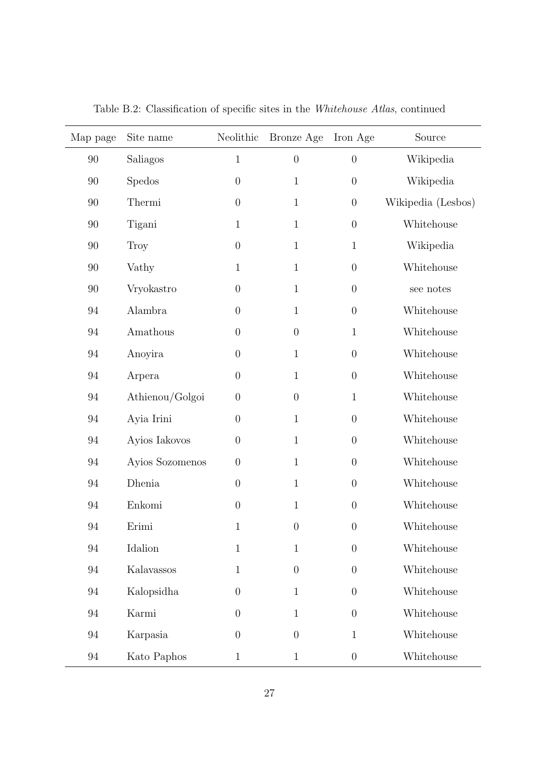| Map page | Site name       | Neolithic        | Bronze Age       | Iron Age         | Source             |
|----------|-----------------|------------------|------------------|------------------|--------------------|
| 90       | Saliagos        | $1\,$            | $\boldsymbol{0}$ | $\theta$         | Wikipedia          |
| 90       | Spedos          | $\boldsymbol{0}$ | $1\,$            | $\boldsymbol{0}$ | Wikipedia          |
| $90\,$   | Thermi          | $\boldsymbol{0}$ | $1\,$            | $\boldsymbol{0}$ | Wikipedia (Lesbos) |
| $90\,$   | Tigani          | $\mathbf{1}$     | $1\,$            | $\boldsymbol{0}$ | Whitehouse         |
| 90       | Troy            | $\boldsymbol{0}$ | $1\,$            | $\mathbf{1}$     | Wikipedia          |
| $90\,$   | Vathy           | $\mathbf{1}$     | $1\,$            | $\boldsymbol{0}$ | Whitehouse         |
| $90\,$   | Vryokastro      | $\boldsymbol{0}$ | $1\,$            | $\boldsymbol{0}$ | see notes          |
| $94\,$   | Alambra         | $\boldsymbol{0}$ | $\mathbf{1}$     | $\boldsymbol{0}$ | Whitehouse         |
| $94\,$   | Amathous        | $\boldsymbol{0}$ | $\boldsymbol{0}$ | $\mathbf{1}$     | Whitehouse         |
| $94\,$   | Anoyira         | $\boldsymbol{0}$ | $1\,$            | $\boldsymbol{0}$ | Whitehouse         |
| $94\,$   | Arpera          | $\boldsymbol{0}$ | $1\,$            | $\boldsymbol{0}$ | Whitehouse         |
| $94\,$   | Athienou/Golgoi | $\boldsymbol{0}$ | $\boldsymbol{0}$ | $\mathbf{1}$     | Whitehouse         |
| $94\,$   | Ayia Irini      | $\boldsymbol{0}$ | $\mathbf{1}$     | $\boldsymbol{0}$ | Whitehouse         |
| $94\,$   | Ayios Iakovos   | $\boldsymbol{0}$ | $\mathbf{1}$     | $\boldsymbol{0}$ | Whitehouse         |
| $94\,$   | Ayios Sozomenos | $\boldsymbol{0}$ | $1\,$            | $\boldsymbol{0}$ | Whitehouse         |
| $94\,$   | Dhenia          | $\boldsymbol{0}$ | $1\,$            | $\boldsymbol{0}$ | Whitehouse         |
| $94\,$   | Enkomi          | $\boldsymbol{0}$ | $1\,$            | $\boldsymbol{0}$ | Whitehouse         |
| 94       | Erimi           | 1                | $\theta$         | $\boldsymbol{0}$ | Whitehouse         |
| 94       | Idalion         | $\mathbf{1}$     | $\mathbf{1}$     | $\theta$         | Whitehouse         |
| 94       | Kalavassos      | $\mathbf{1}$     | $\overline{0}$   | $\theta$         | Whitehouse         |
| 94       | Kalopsidha      | $\theta$         | $\mathbf{1}$     | $\theta$         | Whitehouse         |
| 94       | Karmi           | $\theta$         | $\mathbf{1}$     | $\theta$         | Whitehouse         |
| 94       | Karpasia        | $\overline{0}$   | $\overline{0}$   | $\mathbf{1}$     | Whitehouse         |
| $94\,$   | Kato Paphos     | $\mathbf{1}$     | $\mathbf{1}$     | $\theta$         | Whitehouse         |

Table B.2: Classification of specific sites in the Whitehouse Atlas, continued

L,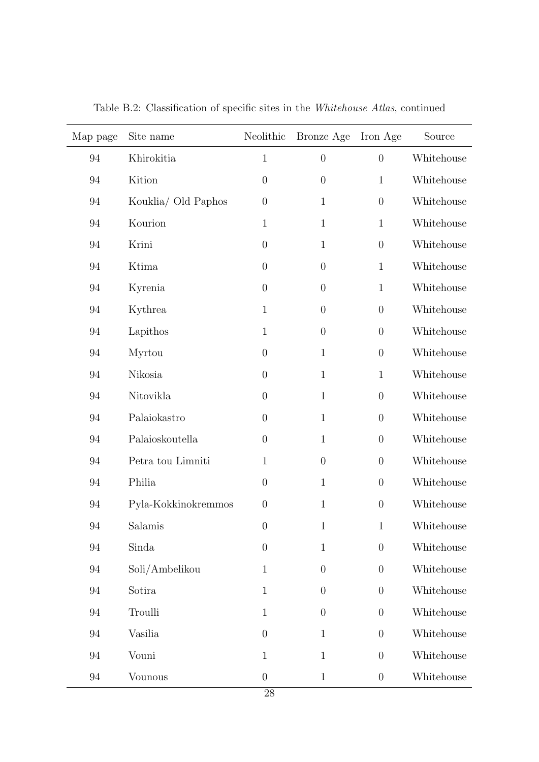| Map page | Site name           | Neolithic        | Bronze Age       | Iron Age         | Source     |
|----------|---------------------|------------------|------------------|------------------|------------|
| 94       | Khirokitia          | $\mathbf{1}$     | $\boldsymbol{0}$ | $\theta$         | Whitehouse |
| 94       | Kition              | $\boldsymbol{0}$ | $\boldsymbol{0}$ | $\mathbf{1}$     | Whitehouse |
| 94       | Kouklia/ Old Paphos | $\theta$         | $\mathbf{1}$     | $\boldsymbol{0}$ | Whitehouse |
| 94       | Kourion             | $\mathbf{1}$     | $\mathbf{1}$     | $\mathbf{1}$     | Whitehouse |
| 94       | Krini               | $\boldsymbol{0}$ | $\mathbf{1}$     | $\boldsymbol{0}$ | Whitehouse |
| 94       | Ktima               | $\boldsymbol{0}$ | $\boldsymbol{0}$ | $\mathbf{1}$     | Whitehouse |
| 94       | Kyrenia             | $\boldsymbol{0}$ | $\boldsymbol{0}$ | $\mathbf{1}$     | Whitehouse |
| 94       | Kythrea             | $\mathbf{1}$     | $\boldsymbol{0}$ | $\theta$         | Whitehouse |
| 94       | Lapithos            | $\mathbf{1}$     | $\boldsymbol{0}$ | $\theta$         | Whitehouse |
| 94       | Myrtou              | $\boldsymbol{0}$ | $\mathbf{1}$     | $\boldsymbol{0}$ | Whitehouse |
| 94       | Nikosia             | $\boldsymbol{0}$ | $\mathbf{1}$     | $\mathbf{1}$     | Whitehouse |
| 94       | Nitovikla           | $\boldsymbol{0}$ | $\mathbf{1}$     | $\boldsymbol{0}$ | Whitehouse |
| 94       | Palaiokastro        | $\theta$         | $\mathbf{1}$     | $\boldsymbol{0}$ | Whitehouse |
| 94       | Palaioskoutella     | $\theta$         | $\mathbf{1}$     | $\boldsymbol{0}$ | Whitehouse |
| 94       | Petra tou Limniti   | $\mathbf{1}$     | $\boldsymbol{0}$ | $\boldsymbol{0}$ | Whitehouse |
| 94       | Philia              | $\boldsymbol{0}$ | $\mathbf{1}$     | $\boldsymbol{0}$ | Whitehouse |
| 94       | Pyla-Kokkinokremmos | $\boldsymbol{0}$ | $\mathbf{1}$     | $\boldsymbol{0}$ | Whitehouse |
| 94       | Salamis             | $\boldsymbol{0}$ | $\,1\,$          | $\mathbf{1}$     | Whitehouse |
| 94       | Sinda               | $\overline{0}$   | $\mathbf{1}$     | $\theta$         | Whitehouse |
| 94       | Soli/Ambelikou      | $\mathbf{1}$     | $\overline{0}$   | $\theta$         | Whitehouse |
| 94       | Sotira              | $\mathbf{1}$     | $\overline{0}$   | $\theta$         | Whitehouse |
| 94       | Troulli             | $\mathbf{1}$     | $\overline{0}$   | $\theta$         | Whitehouse |
| 94       | Vasilia             | $\overline{0}$   | $\mathbf{1}$     | $\theta$         | Whitehouse |
| 94       | Vouni               | $\mathbf{1}$     | $\mathbf{1}$     | $\theta$         | Whitehouse |
| $94\,$   | Vounous             | $\boldsymbol{0}$ | $\mathbf{1}$     | $\theta$         | Whitehouse |

Table B.2: Classification of specific sites in the Whitehouse Atlas, continued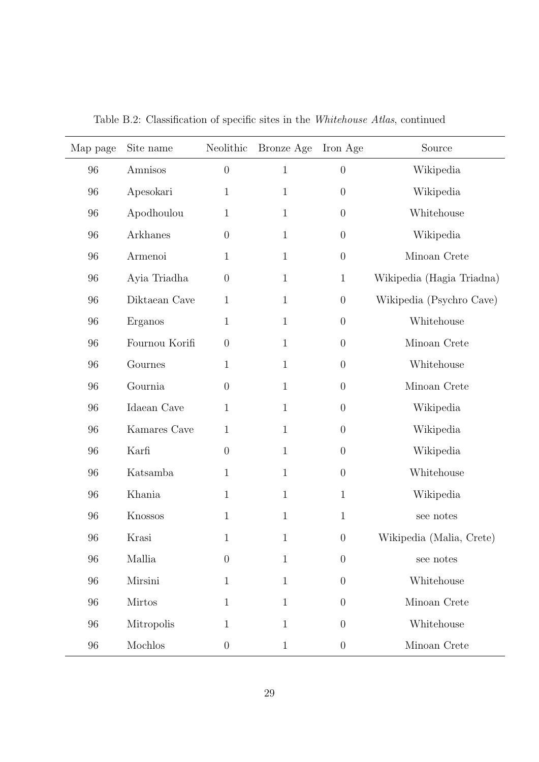| Map page | Site name      |                  | Neolithic Bronze Age | Iron Age         | Source                    |
|----------|----------------|------------------|----------------------|------------------|---------------------------|
| 96       | Amnisos        | $\theta$         | $1\,$                | $\boldsymbol{0}$ | Wikipedia                 |
| 96       | Apesokari      | 1                | $1\,$                | $\boldsymbol{0}$ | Wikipedia                 |
| 96       | Apodhoulou     | $\mathbf{1}$     | $\mathbf{1}$         | $\theta$         | Whitehouse                |
| 96       | Arkhanes       | $\overline{0}$   | $\mathbf{1}$         | $\boldsymbol{0}$ | Wikipedia                 |
| 96       | Armenoi        | 1                | $1\,$                | $\boldsymbol{0}$ | Minoan Crete              |
| 96       | Ayia Triadha   | $\boldsymbol{0}$ | $\mathbf{1}$         | $\mathbf{1}$     | Wikipedia (Hagia Triadna) |
| 96       | Diktaean Cave  | $\mathbf 1$      | $\mathbf{1}$         | $\boldsymbol{0}$ | Wikipedia (Psychro Cave)  |
| 96       | Erganos        | 1                | $\mathbf{1}$         | $\theta$         | Whitehouse                |
| 96       | Fournou Korifi | $\theta$         | $\mathbf{1}$         | $\boldsymbol{0}$ | Minoan Crete              |
| 96       | Gournes        | $\mathbf{1}$     | $\mathbf{1}$         | $\theta$         | Whitehouse                |
| 96       | Gournia        | $\theta$         | $\mathbf{1}$         | $\boldsymbol{0}$ | Minoan Crete              |
| 96       | Idaean Cave    | $\mathbf 1$      | $\mathbf{1}$         | $\boldsymbol{0}$ | Wikipedia                 |
| 96       | Kamares Cave   | $\mathbf 1$      | $\mathbf{1}$         | $\theta$         | Wikipedia                 |
| 96       | Karfi          | $\theta$         | $\mathbf{1}$         | $\boldsymbol{0}$ | Wikipedia                 |
| 96       | Katsamba       | 1                | $\mathbf{1}$         | $\boldsymbol{0}$ | Whitehouse                |
| 96       | Khania         | $\mathbf{1}$     | $\mathbf{1}$         | $\mathbf{1}$     | Wikipedia                 |
| 96       | Knossos        | $\mathbf{1}$     | $\mathbf{1}$         | $\mathbf{1}$     | see notes                 |
| 96       | Krasi          | $\mathbf 1$      | $1\,$                | $\boldsymbol{0}$ | Wikipedia (Malia, Crete)  |
| 96       | Mallia         | $\overline{0}$   | $\mathbf{1}$         | $\overline{0}$   | see notes                 |
| 96       | Mirsini        | 1                | $\mathbf{1}$         | $\theta$         | Whitehouse                |
| 96       | <b>Mirtos</b>  | 1                | $\mathbf{1}$         | $\overline{0}$   | Minoan Crete              |
| 96       | Mitropolis     | 1                | $\mathbf{1}$         | $\overline{0}$   | Whitehouse                |
| 96       | Mochlos        | $\overline{0}$   | $\mathbf{1}$         | $\theta$         | Minoan Crete              |

Table B.2: Classification of specific sites in the Whitehouse Atlas, continued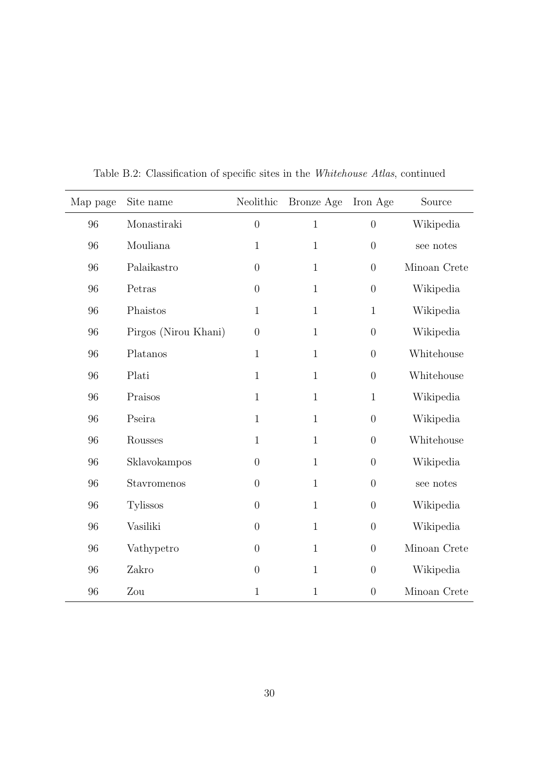| Map page | Site name            | Neolithic        | Bronze Age   | Iron Age         | Source       |
|----------|----------------------|------------------|--------------|------------------|--------------|
| 96       | Monastiraki          | $\overline{0}$   | $\mathbf{1}$ | $\boldsymbol{0}$ | Wikipedia    |
| 96       | Mouliana             | $\mathbf{1}$     | $\mathbf{1}$ | $\boldsymbol{0}$ | see notes    |
| 96       | Palaikastro          | $\boldsymbol{0}$ | $\mathbf{1}$ | $\boldsymbol{0}$ | Minoan Crete |
| 96       | Petras               | $\boldsymbol{0}$ | $\mathbf{1}$ | $\boldsymbol{0}$ | Wikipedia    |
| 96       | Phaistos             | $\mathbf{1}$     | $\mathbf{1}$ | $\mathbf{1}$     | Wikipedia    |
| 96       | Pirgos (Nirou Khani) | $\boldsymbol{0}$ | $\mathbf{1}$ | $\boldsymbol{0}$ | Wikipedia    |
| 96       | Platanos             | $\mathbf{1}$     | $\mathbf{1}$ | $\boldsymbol{0}$ | Whitehouse   |
| 96       | Plati                | $\mathbf{1}$     | $\mathbf{1}$ | $\boldsymbol{0}$ | Whitehouse   |
| 96       | Praisos              | $\mathbf{1}$     | $\mathbf{1}$ | $\,1\,$          | Wikipedia    |
| 96       | Pseira               | $\mathbf{1}$     | $\mathbf{1}$ | $\boldsymbol{0}$ | Wikipedia    |
| 96       | Rousses              | $\mathbf{1}$     | $\mathbf{1}$ | $\overline{0}$   | Whitehouse   |
| 96       | Sklavokampos         | $\theta$         | $\mathbf{1}$ | $\boldsymbol{0}$ | Wikipedia    |
| 96       | Stavromenos          | $\theta$         | $\mathbf{1}$ | $\boldsymbol{0}$ | see notes    |
| 96       | <b>Tylissos</b>      | $\theta$         | $\mathbf{1}$ | $\boldsymbol{0}$ | Wikipedia    |
| 96       | Vasiliki             | $\overline{0}$   | $\mathbf{1}$ | $\boldsymbol{0}$ | Wikipedia    |
| 96       | Vathypetro           | $\theta$         | $\mathbf{1}$ | $\boldsymbol{0}$ | Minoan Crete |
| 96       | Zakro                | $\overline{0}$   | $\mathbf{1}$ | $\overline{0}$   | Wikipedia    |
| 96       | Zou                  | 1                | $\mathbf{1}$ | $\overline{0}$   | Minoan Crete |

Table B.2: Classification of specific sites in the Whitehouse Atlas, continued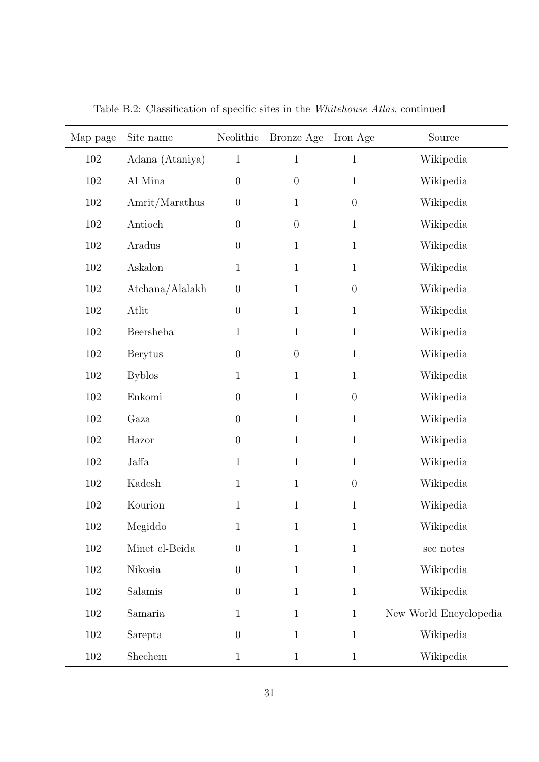| Map page | Site name       | Neolithic        | Bronze Age       | Iron Age       | Source                 |
|----------|-----------------|------------------|------------------|----------------|------------------------|
| 102      | Adana (Ataniya) | $\mathbf{1}$     | $\overline{1}$   | $\mathbf{1}$   | Wikipedia              |
| 102      | Al Mina         | $\overline{0}$   | $\boldsymbol{0}$ | $\mathbf 1$    | Wikipedia              |
| $102\,$  | Amrit/Marathus  | $\boldsymbol{0}$ | $\mathbf 1$      | $\overline{0}$ | Wikipedia              |
| 102      | Antioch         | $\boldsymbol{0}$ | $\overline{0}$   | $\mathbf 1$    | Wikipedia              |
| 102      | Aradus          | $\boldsymbol{0}$ | $\mathbf{1}$     | $\mathbf{1}$   | Wikipedia              |
| $102\,$  | Askalon         | $\mathbf{1}$     | $\mathbf{1}$     | $\mathbf 1$    | Wikipedia              |
| 102      | Atchana/Alalakh | $\boldsymbol{0}$ | $\mathbf{1}$     | $\overline{0}$ | Wikipedia              |
| $102\,$  | Atlit           | $\overline{0}$   | $\mathbf{1}$     | $\mathbf 1$    | Wikipedia              |
| $102\,$  | Beersheba       | $\mathbf{1}$     | $\mathbf{1}$     | $\mathbf 1$    | Wikipedia              |
| 102      | <b>Berytus</b>  | $\overline{0}$   | $\boldsymbol{0}$ | 1              | Wikipedia              |
| 102      | <b>Byblos</b>   | $\mathbf{1}$     | $\mathbf{1}$     | 1              | Wikipedia              |
| 102      | Enkomi          | $\overline{0}$   | $\mathbf{1}$     | $\overline{0}$ | Wikipedia              |
| 102      | Gaza            | $\overline{0}$   | $\mathbf{1}$     | $\mathbf{1}$   | Wikipedia              |
| $102\,$  | Hazor           | $\overline{0}$   | $\mathbf{1}$     | $\mathbf{1}$   | Wikipedia              |
| 102      | Jaffa           | $\mathbf{1}$     | $\mathbf{1}$     | 1              | Wikipedia              |
| $102\,$  | Kadesh          | $\mathbf{1}$     | $\mathbf{1}$     | $\overline{0}$ | Wikipedia              |
| 102      | Kourion         | $\mathbf{1}$     | $\mathbf{1}$     | $\mathbf 1$    | Wikipedia              |
| 102      | Megiddo         | $\mathbf{1}$     | $\mathbf 1$      | 1              | Wikipedia              |
| $102\,$  | Minet el-Beida  | $\boldsymbol{0}$ | $1\,$            | $\,1\,$        | see notes              |
| $102\,$  | Nikosia         | $\boldsymbol{0}$ | $\mathbf{1}$     | $\mathbf{1}$   | Wikipedia              |
| $102\,$  | Salamis         | $\boldsymbol{0}$ | $\mathbf{1}$     | $1\,$          | Wikipedia              |
| $102\,$  | Samaria         | $\mathbf{1}$     | $\mathbf{1}$     | $\,1$          | New World Encyclopedia |
| $102\,$  | Sarepta         | $\boldsymbol{0}$ | $\mathbf{1}$     | $\mathbf{1}$   | Wikipedia              |
| $102\,$  | Shechem         | $\mathbf{1}$     | $\mathbf{1}$     | $\mathbf{1}$   | Wikipedia              |

Table B.2: Classification of specific sites in the Whitehouse Atlas, continued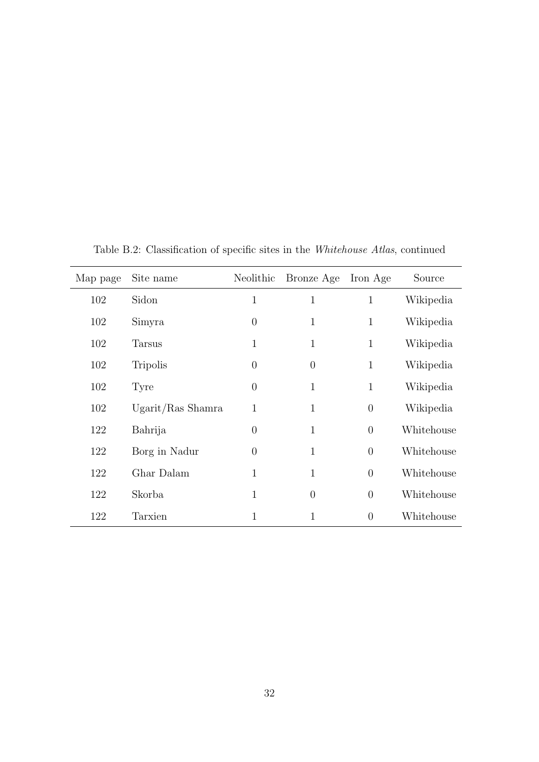<span id="page-31-0"></span>

| Map page | Site name         | Neolithic      | Bronze Age     | Iron Age       | Source     |
|----------|-------------------|----------------|----------------|----------------|------------|
| 102      | Sidon             | $\mathbf{1}$   | 1              | $\mathbf{1}$   | Wikipedia  |
| 102      | Simyra            | $\overline{0}$ | 1              | $\mathbf{1}$   | Wikipedia  |
| 102      | <b>Tarsus</b>     | $\mathbf{1}$   | $\mathbf{1}$   | $\mathbf{1}$   | Wikipedia  |
| 102      | <b>Tripolis</b>   | $\theta$       | $\Omega$       | $\mathbf{1}$   | Wikipedia  |
| 102      | Tyre              | $\overline{0}$ | 1              | $\mathbf{1}$   | Wikipedia  |
| 102      | Ugarit/Ras Shamra | 1              | 1              | $\overline{0}$ | Wikipedia  |
| 122      | Bahrija           | $\theta$       | 1              | $\overline{0}$ | Whitehouse |
| 122      | Borg in Nadur     | $\overline{0}$ | 1              | $\overline{0}$ | Whitehouse |
| 122      | Ghar Dalam        | $\mathbf{1}$   | 1              | $\theta$       | Whitehouse |
| 122      | Skorba            | $\mathbf{1}$   | $\overline{0}$ | $\overline{0}$ | Whitehouse |
| 122      | Tarxien           | 1              | 1              | $\theta$       | Whitehouse |

Table B.2: Classification of specific sites in the Whitehouse Atlas, continued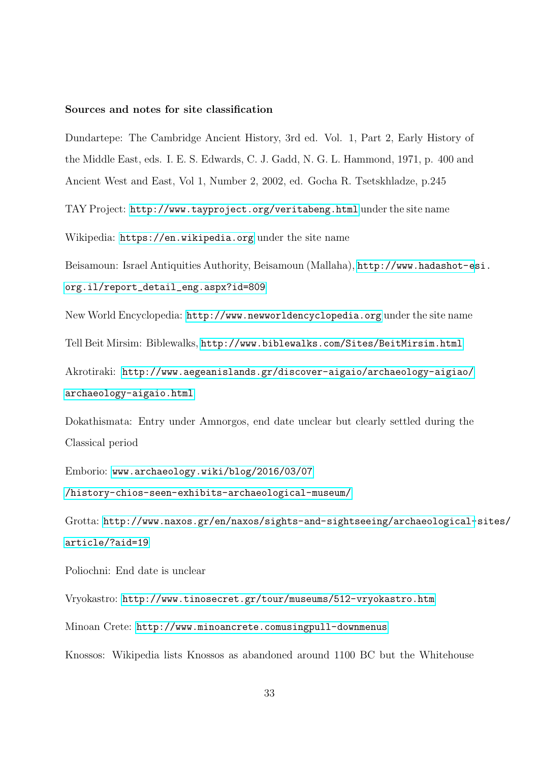#### Sources and notes for site classification

Dundartepe: The Cambridge Ancient History, 3rd ed. Vol. 1, Part 2, Early History of the Middle East, eds. I. E. S. Edwards, C. J. Gadd, N. G. L. Hammond, 1971, p. 400 and Ancient West and East, Vol 1, Number 2, 2002, ed. Gocha R. Tsetskhladze, p.245

TAY Project: <http://www.tayproject.org/veritabeng.html> under the site name

Wikipedia: <https://en.wikipedia.org> under the site name

Beisamoun: Israel Antiquities Authority, Beisamoun (Mallaha), [http://www.hadashot-es](http://www.hadashot-esi.org.il/report_detail_eng.aspx?id=809)i. [org.il/report\\_detail\\_eng.aspx?id=809](http://www.hadashot-esi.org.il/report_detail_eng.aspx?id=809)

New World Encyclopedia: <http://www.newworldencyclopedia.org> under the site name

Tell Beit Mirsim: Biblewalks, <http://www.biblewalks.com/Sites/BeitMirsim.html>

Akrotiraki: [http://www.aegeanislands.gr/discover-aigaio/archaeology-aigiao/](http://www.aegeanislands.gr/discover-aigaio/archaeology-aigiao/archaeology-aigaio.html) [archaeology-aigaio.html](http://www.aegeanislands.gr/discover-aigaio/archaeology-aigiao/archaeology-aigaio.html)

Dokathismata: Entry under Amnorgos, end date unclear but clearly settled during the Classical period

Emborio: <www.archaeology.wiki/blog/2016/03/07> </history-chios-seen-exhibits-archaeological-museum/>

Grotta: [http://www.naxos.gr/en/naxos/sights-and-sightseeing/archaeological-](http://www.naxos.gr/en/naxos/sights-and-sightseeing/archaeological-sites/article/?aid=19)sites/ [article/?aid=19](http://www.naxos.gr/en/naxos/sights-and-sightseeing/archaeological-sites/article/?aid=19)

Poliochni: End date is unclear

Vryokastro: <http://www.tinosecret.gr/tour/museums/512-vryokastro.htm>

Minoan Crete: [http://www.minoancrete.comusingpull-downmenus](http://www.minoancrete.com using pull-down menus)

Knossos: Wikipedia lists Knossos as abandoned around 1100 BC but the Whitehouse